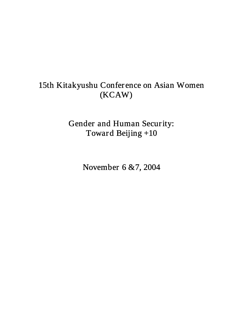# 15th Kitakyushu Confer ence on Asian Women (KCAW)

Gender and Human Security: Toward Beijing +10

November 6 &7, 2004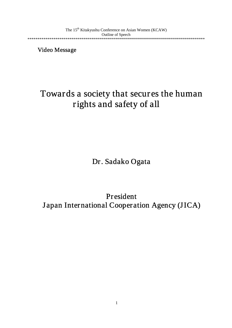The 15<sup>th</sup> Kitakyushu Conference on Asian Women (KCAW) Outline of Speech \*\*\*\*\*\*\*\*\*\*\*\*\*\*\*\*\*\*\*\*\*\*\*\*\*\*\*\*\*\*\*\*\*\*\*\*\*\*\*\*\*\*\*\*\*\*\*\*\*\*\*\*\*\*\*\*\*\*\*\*\*\*\*\*\*\*\*\*\*\*\*\*\*\*\*\*\*\*\*\*\*\*\*\*\*\*\*\*\*

Video Message

# Towards a society that secures the human rights and safety of all

Dr. Sadako Ogata

President <sup>J</sup> apan International Cooperation Agency (JICA)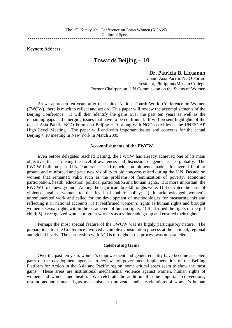Keynote Address

### Towards Beijing + 10

# Dr. Patricia B. Licuanan Chair, Asia Pacific NGO Forum

President, Philippine/Miriam College Former Chairperson, UN Commission on the Status of Women

As we approach ten years after the United Nations Fourth World Conference on Women (FWCW), there is much to reflect and act on. This paper will review the accomplishments of the Beijing Conference. It will then identify the gains over the past ten years as well as the remaining gaps and emerging issues that have to be confronted. It will present highlights of the recent Asia Pacific NGO Forum on Beijing + 10 along with NGO activities at the UNESCAP High Level Meeting. The paper will end with important issues and concerns for the actual Beijing + 10 meeting in New York in March 2005.

#### Accomplishments of the FWCW

Even before delegates reached Beijing, the FWCW has already achieved one of its main objectives that is, raising the level of awareness and discussion of gender issues globally. The FWCW built on past U.N. conferences and upheld commitments made. It covered familiar ground and reinforced and gave new visibility to old concerns raised during the U.N. Decade on women that remained valid such as the problems of feminization of poverty, economic participation, health, education, political participation and human rights. But more important, the FWCW broke new ground. Among the significant breakthroughs were: 1) It elevated the issue of violence against women to the level of public policy; 2) It acknowledged women's unremunerated work and called for the development of methodologies for measuring this and reflecting it in national accounts; 3) It reaffirmed women's rights as human rights and brought women's sexual rights within the parameters of human rights; 4) It affirmed the rights of the girl child; 5) It recognized women migrant workers as a vulnerable group and ensured their rights.

Perhaps the most special feature of the FWCW was its highly participatory nature. The preparations for the Conference involved a complex consultation process at the national, regional and global levels. The partnership with NGOs throughout the process was unparalleled.

#### Celebrating Gains

Over the past ten years women's empowerment and gender equality have become accepted parts of the development agenda. In reviews of government implementation of the Beijing Platform for Action in the Asia and Pacific region, some critical areas seem to show the most gains. These areas are institutional mechanisms, violence against women, human rights of women and women and health. We celebrate the addition of some important conventions, resolutions and human rights mechanisms to prevent, eradicate violations of women's human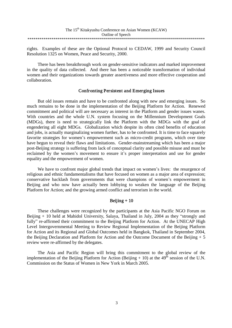| The 15 <sup>th</sup> Kitakyushu Conference on Asian Women (KCAW) |
|------------------------------------------------------------------|
| Outline of Speech                                                |
|                                                                  |

rights. Examples of these are the Optional Protocol to CEDAW, 1999 and Security Council Resolution 1325 on Women, Peace and Security, 2000.

There has been breakthrough work on gender-sensitive indicators and marked improvement in the quality of data collected. And there has been a noticeable transformation of individual women and their organizations towards greater assertiveness and more effective cooperation and collaboration.

#### Confronting Persistent and Emerging Issues

But old issues remain and have to be confronted along with new and emerging issues. So much remains to be done in the implementation of the Beijing Platform for Action. Renewed commitment and political will are necessary as interest in the Platform and gender issues wanes. With countries and the whole U.N. system focusing on the Millennium Development Goals (MDGs), there is need to strategically link the Platform with the MDGs with the goal of engendering all eight MDGs. Globalization which despite its often cited benefits of education and jobs, is actually marginalizing women further, has to be confronted. It is time to face squarely favorite strategies for women's empowerment such as micro-credit programs, which over time have begun to reveal their flaws and limitations. Gender-mainstreaming which has been a major post-Beijing strategy is suffering from lack of conceptual clarity and possible misuse and must be reclaimed by the women's movement to ensure it's proper interpretation and use for gender equality and the empowerment of women.

We have to confront major global trends that impact on women's lives: the resurgence of religious and ethnic fundamentalisms that have focused on women as a major area of expression; conservative backlash from governments that were champions of women's empowerment in Beijing and who now have actually been lobbying to weaken the language of the Beijing Platform for Action; and the growing armed conflict and terrorism in the world.

#### Beijing  $+10$

These challenges were recognized by the participants at the Asia Pacific NGO Forum on Beijing + 10 held at Mahidol University, Salaya, Thailand in July, 2004 as they "strongly and fully" re-affirmed their commitment to the Beijing Platform for Action. At the UNECAP High Level Intergovernmental Meeting to Review Regional Implementation of the Beijing Platform for Action and its Regional and Global Outcomes held in Bangkok, Thailand in September 2004, the Beijing Declaration and Platform for Action and the Outcome Document of the Beijing  $+5$ review were re-affirmed by the delegates.

The Asia and Pacific Region will bring this commitment to the global review of the implementation of the Beijing Platform for Action (Beijing  $+10$ ) at the 49<sup>th</sup> session of the U.N. Commission on the Status of Women in New York in March 2005.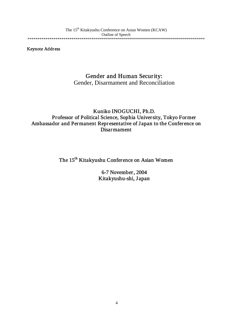Keynote Address

### Gender and Human Security:

Gender, Disarmament and Reconciliation

### Kuniko INOGUCHI, Ph.D. Professor of Political Science, Sophia University, Tokyo Former Ambassador and Permanent Representative of J apan to the Conference on Disarmament

The 15<sup>th</sup> Kitakyushu Conference on Asian Women

6-7 November, 2004 Kitakyushu-shi, J apan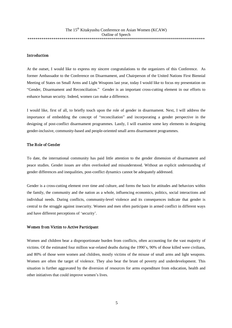#### Introduction

At the outset, I would like to express my sincere congratulations to the organizers of this Conference. As former Ambassador to the Conference on Disarmament, and Chairperson of the United Nations First Biennial Meeting of States on Small Arms and Light Weapons last year, today I would like to focus my presentation on "Gender, Disarmament and Reconciliation." Gender is an important cross-cutting element in our efforts to enhance human security. Indeed, women can make a difference.

I would like, first of all, to briefly touch upon the role of gender in disarmament. Next, I will address the importance of embedding the concept of "reconciliation" and incorporating a gender perspective in the designing of post-conflict disarmament programmes. Lastly, I will examine some key elements in designing gender-inclusive, community-based and people-oriented small arms disarmament programmes.

#### The Role of Gender

To date, the international community has paid little attention to the gender dimension of disarmament and peace studies. Gender issues are often overlooked and misunderstood. Without an explicit understanding of gender differences and inequalities, post-conflict dynamics cannot be adequately addressed.

Gender is a cross-cutting element over time and culture, and forms the basis for attitudes and behaviors within the family, the community and the nation as a whole, influencing economics, politics, social interactions and individual needs. During conflicts, community-level violence and its consequences indicate that gender is central to the struggle against insecurity. Women and men often participate in armed conflict in different ways and have different perceptions of 'security'.

#### Women from Victim to Active Participant

Women and children bear a disproportionate burden from conflicts, often accounting for the vast majority of victims. Of the estimated four million war-related deaths during the 1990's, 90% of those killed were civilians, and 80% of those were women and children, mostly victims of the misuse of small arms and light weapons. Women are often the target of violence. They also bear the brunt of poverty and underdevelopment. This situation is further aggravated by the diversion of resources for arms expenditure from education, health and other initiatives that could improve women's lives.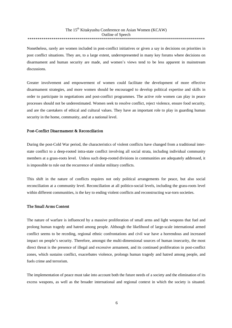Nonetheless, rarely are women included in post-conflict initiatives or given a say in decisions on priorities in post conflict situations. They are, to a large extent, underrepresented in many key forums where decisions on disarmament and human security are made, and women's views tend to be less apparent in mainstream discussions.

Greater involvement and empowerment of women could facilitate the development of more effective disarmament strategies, and more women should be encouraged to develop political expertise and skills in order to participate in negotiations and post-conflict programmes. The active role women can play in peace processes should not be underestimated. Women seek to resolve conflict, reject violence, ensure food security, and are the caretakers of ethical and cultural values. They have an important role to play in guarding human security in the home, community, and at a national level.

#### Post-Conflict Disarmament & Reconciliation

During the post-Cold War period, the characteristics of violent conflicts have changed from a traditional interstate conflict to a deep-rooted intra-state conflict involving all social strata, including individual community members at a grass-roots level. Unless such deep-rooted divisions in communities are adequately addressed, it is impossible to rule out the recurrence of similar military conflicts.

This shift in the nature of conflicts requires not only political arrangements for peace, but also social reconciliation at a community level. Reconciliation at all politico-social levels, including the grass-roots level within different communities, is the key to ending violent conflicts and reconstructing war-torn societies.

#### The Small Arms Context

The nature of warfare is influenced by a massive proliferation of small arms and light weapons that fuel and prolong human tragedy and hatred among people. Although the likelihood of large-scale international armed conflict seems to be receding, regional ethnic confrontations and civil war have a horrendous and increased impact on people's security. Therefore, amongst the multi-dimensional sources of human insecurity, the most direct threat is the presence of illegal and excessive armament, and its continued proliferation in post-conflict zones, which sustains conflict, exacerbates violence, prolongs human tragedy and hatred among people, and fuels crime and terrorism.

The implementation of peace must take into account both the future needs of a society and the elimination of its excess weapons, as well as the broader international and regional context in which the society is situated.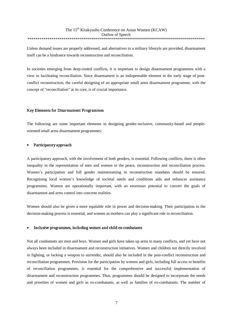Unless demand issues are properly addressed, and alternatives to a military lifestyle are provided, disarmament itself can be a hindrance towards reconstruction and reconciliation.

In societies emerging from deep-rooted conflicts, it is important to design disarmament programmes with a view to facilitating reconciliation. Since disarmament is an indispensable element in the early stage of postconflict reconstruction, the careful designing of an appropriate small arms disarmament programme, with the concept of "reconciliation" at its core, is of crucial importance.

#### Key Elements for Disarmament Programmes

The following are some important elements in designing gender-inclusive, community-based and peopleoriented small arms disarmament programmes:

#### Participatory approach

A participatory approach, with the involvement of both genders, is essential. Following conflicts, there is often inequality in the representation of men and women in the peace, reconstruction and reconciliation process. Women's participation and full gender mainstreaming in reconstruction mandates should be ensured. Recognising local women's knowledge of societal needs and conditions aids and enhances assistance programmes. Women are operationally important, with an enormous potential to convert the goals of disarmament and arms control into concrete realities.

Women should also be given a more equitable role in power and decision-making. Their participation in the decision-making process is essential, and women as mothers can play a significant role in reconciliation.

#### x Inclusive programmes, including women and child ex-combatants

Not all combatants are men and boys. Women and girls have taken up arms in many conflicts, and yet have not always been included in disarmament and reconstruction initiatives. Women and children not directly involved in fighting, or lacking a weapon to surrender, should also be included in the post-conflict reconstruction and reconciliation programmes. Provision for the participation by women and girls, including full access to benefits of reconciliation programmes, is essential for the comprehensive and successful implementation of disarmament and reconstruction programmes. Thus, programmes should be designed to incorporate the needs and priorities of women and girls as ex-combatants, as well as families of ex-combatants. The number of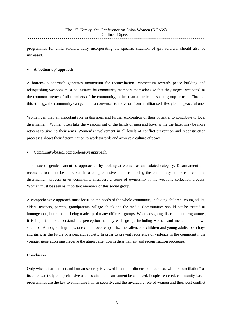programmes for child soldiers, fully incorporating the specific situation of girl soldiers, should also be increased.

#### A 'bottom-up' approach

A bottom-up approach generates momentum for reconciliation. Momentum towards peace building and relinquishing weapons must be initiated by community members themselves so that they target "weapons" as the common enemy of all members of the community, rather than a particular social group or tribe. Through this strategy, the community can generate a consensus to move on from a militarised lifestyle to a peaceful one.

Women can play an important role in this area, and further exploration of their potential to contribute to local disarmament. Women often take the weapons out of the hands of men and boys, while the latter may be more reticent to give up their arms. Women's involvement in all levels of conflict prevention and reconstruction processes shows their determination to work towards and achieve a culture of peace.

#### Community-based, comprehensive approach

The issue of gender cannot be approached by looking at women as an isolated category. Disarmament and reconciliation must be addressed in a comprehensive manner. Placing the community at the centre of the disarmament process gives community members a sense of ownership in the weapons collection process. Women must be seen as important members of this social group.

A comprehensive approach must focus on the needs of the whole community including children, young adults, elders, teachers, parents, grandparents, village chiefs and the media. Communities should not be treated as homogenous, but rather as being made up of many different groups. When designing disarmament programmes, it is important to understand the perception held by each group, including women and men, of their own situation. Among such groups, one cannot over emphasise the salience of children and young adults, both boys and girls, as the future of a peaceful society. In order to prevent recurrence of violence in the community, the younger generation must receive the utmost attention in disarmament and reconstruction processes.

#### Conclusion

Only when disarmament and human security is viewed in a multi-dimensional context, with "reconciliation" as its core, can truly comprehensive and sustainable disarmament be achieved. People-centered, community-based programmes are the key to enhancing human security, and the invaluable role of women and their post-conflict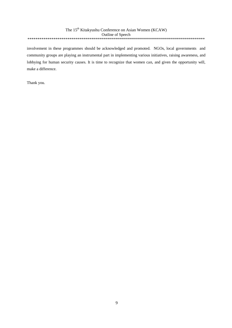involvement in these programmes should be acknowledged and promoted. NGOs, local governments and community groups are playing an instrumental part in implementing various initiatives, raising awareness, and lobbying for human security causes. It is time to recognize that women can, and given the opportunity will, make a difference.

Thank you.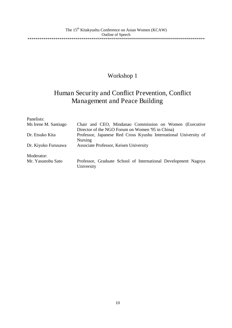## Human Security and Conflict Prevention, Conflict Management and Peace Building

| Panelists:           |                                                                  |
|----------------------|------------------------------------------------------------------|
| Ms Irene M. Santiago | Chair and CEO, Mindanao Commission on Women (Executive           |
|                      | Director of the NGO Forum on Women '95 in China)                 |
| Dr. Etsuko Kita      | Professor, Japanese Red Cross Kyushu International University of |
|                      | Nursing                                                          |
| Dr. Kiyoko Furusawa  | Associate Professor, Keisen University                           |
| Moderator:           |                                                                  |
| Mr. Yasunobu Sato    | Professor, Graduate School of International Development Nagoya   |
|                      | University                                                       |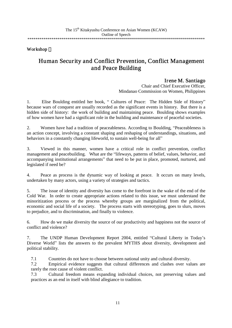### Human Security and Conflict Prevention, Conflict Management and Peace Building

Irene M. Santiago<br>Chair and Chief Executive Officer, Mindanao Commission on Women, Philippines

1. Elise Boulding entitled her book, " Cultures of Peace: The Hidden Side of History" because wars of conquest are usually recorded as the significant events in history. But there is a hidden side of history: the work of building and maintaining peace. Boulding shows examples of how women have had a significant role in the building and maintenance of peaceful societies.

2. Women have had a tradition of peaceableness. According to Boulding, "Peaceableness is an action concept, involving a constant shaping and reshaping of understandings, situations, and behaviors in a constantly changing lifeworld, to sustain well-being for all"

3. Viewed in this manner, women have a critical role in conflict prevention, conflict management and peacebuilding. What are the "lifeways, patterns of belief, values, behavior, and accompanying institutional arrangements" that need to be put in place, promoted, nurtured, and legislated if need be?

4. Peace as process is the dynamic way of looking at peace. It occurs on many levels, undertaken by many actors, using a variety of strategies and tactics.

5. The issue of identity and diversity has come to the forefront in the wake of the end of the Cold War. In order to create appropriate actions related to this issue, we must understand the minoritization process or the process whereby groups are marginalized from the political, economic and social life of a society. The process starts with stereotyping, goes to slurs, moves to prejudice, and to discrimination, and finally to violence.

6. How do we make diversity the source of our productivity and happiness not the source of conflict and violence?

7. The UNDP Human Development Report 2004, entitled "Cultural Liberty in Today's Diverse World" lists the answers to the prevalent MYTHS about diversity, development and political stability.

7.1 Countries do not have to choose between national unity and cultural diversity.

7.2 Empirical evidence suggests that cultural differences and clashes over values are rarely the root cause of violent conflict.

7.3 Cultural freedom means expanding individual choices, not preserving values and practices as an end in itself with blind allegiance to tradition.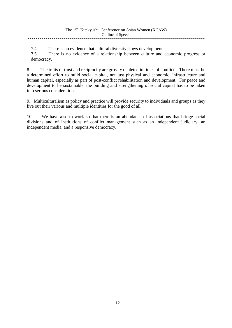| The 15 <sup>th</sup> Kitakyushu Conference on Asian Women (KCAW) |
|------------------------------------------------------------------|
| <b>Outline of Speech</b>                                         |
|                                                                  |

7.4 There is no evidence that cultural diversity slows development.

7.5 There is no evidence of a relationship between culture and economic progress or democracy.

8. The traits of trust and reciprocity are grossly depleted in times of conflict. There must be a determined effort to build social capital, not just physical and economic, infrastructure and human capital, especially as part of post-conflict rehabilitation and development. For peace and development to be sustainable, the building and strengthening of social capital has to be taken into serious consideration.

9. Multiculturalism as policy and practice will provide security to individuals and groups as they live out their various and multiple identities for the good of all.

10. We have also to work so that there is an abundance of associations that bridge social divisions and of institutions of conflict management such as an independent judiciary, an independent media, and a responsive democracy.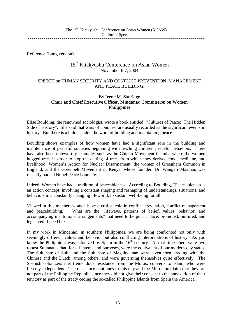Reference (Long version)

### 15th Kitakyushu Conference on Asian Women November 6-7, 2004

#### SPEECH on HUMAN SECURITY AND CONFLICT PREVENTION, MANAGEMENT AND PEACE BUILDING.

### By Irene M. Santiago Chair and Chief Executive Officer, Mindanao Commission on Women Philippines

Elise Boulding, the renowned sociologist, wrote a book entitled, "Cultures of Peace: The Hidden Side of History". She said that wars of conquest are usually recorded as the significant events in history. But there is a hidden side: the work of building and maintaining peace.

Boulding shows examples of how women have had a significant role in the building and maintenance of peaceful societies beginning with teaching children peaceful behaviors. There have also been noteworthy examples such as the Chipko Movement in India where the women hugged trees in order to stop the cutting of trees from which they derived food, medicine, and livelihood; Women's Action for Nuclear Disarmament; the women of Greenham Common in England; and the Greenbelt Movement in Kenya, whose founder, Dr. Wangari Maathai, was recently named Nobel Peace Laureate.

Indeed, Women have had a tradition of peaceableness. According to Boulding, "Peaceableness is an action concept, involving a constant shaping and reshaping of understandings, situations, and behaviors in a constantly changing lifeworld, to sustain well-being for all"

Viewed in this manner, women have a critical role in conflict prevention, conflict management and peacebuilding. What are the "lifeways, patterns of belief, values, behavior, and accompanying institutional arrangements" that need to be put in place, promoted, nurtured, and legislated if need be?

In my work in Mindanao, in southern Philippines, we are being confronted not only with seemingly different values and behavior but also conflicting interpretations of history. As you know the Philippines was colonized by Spain in the  $16<sup>th</sup>$  century. At that time, there were two robust Sultanates that, for all intents and purposes, were the equivalent of our modern-day states. The Sultanate of Sulu and the Sultanate of Maguindanao were, even then, trading with the Chinese and the Dutch, among others, and were governing themselves quite effectively. The Spanish colonizers met tremendous resistance from the Moros, converts to Islam, who were fiercely independent. The resistance continues to this day and the Moros proclaim that they are not part of the Philippine Republic since they did not give their consent to the annexation of their territory as part of the treaty ceding the so-called Philippine Islands from Spain the America.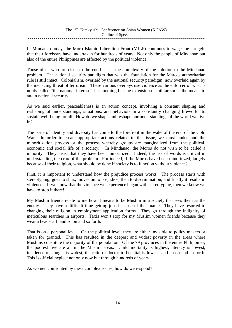In Mindanao today, the Moro Islamic Liberation Front (MILF) continues to wage the struggle that their forebears have undertaken for hundreds of years. Not only the people of Mindanao but also of the entire Philippines are affected by the political violence.

Those of us who are close to the conflict see the complexity of the solution to the Mindanao problem. The national security paradigm that was the foundation for the Marcos authoritarian rule is still intact. Colonialism, overlaid by the national security paradigm, now overlaid again by the menacing threat of terrorism. These various overlays use violence as the enforcer of what is nobly called "the national interest". It is nothing but the extension of militarism as the means to attain national security.

As we said earlier, peaceableness is an action concept, involving a constant shaping and reshaping of understandings, situations, and behaviors in a constantly changing lifeworld, to sustain well-being for all. How do we shape and reshape our understandings of the world we live in?

The issue of identity and diversity has come to the forefront in the wake of the end of the Cold War. In order to create appropriate actions related to this issue, we must understand the minoritization process or the process whereby groups are marginalized from the political, economic and social life of a society. In Mindanao, the Moros do not wish to be called a minority. They insist that they have been minoritized. Indeed, the use of words is critical in understanding the crux of the problem. For indeed, if the Moros have been minoritized, largely because of their religion, what should be done if society is to function without violence?

First, it is important to understand how the prejudice process works. The process starts with stereotyping, goes to slurs, moves on to prejudice, then to discrimination, and finally it results in violence. If we know that the violence we experience began with stereotyping, then we know we have to stop it there!

My Muslim friends relate to me how it means to be Muslim in a society that sees them as the enemy. They have a difficult time getting jobs because of their name. They have resorted to changing their religion in employment application forms. They go through the indignity of meticulous searches in airports. Taxis won't stop for my Muslim women friends because they wear a headscarf, and so on and so forth.

That is on a personal level. On the political level, they are either invisible to policy makers or taken for granted. This has resulted in the deepest and widest poverty in the areas where Muslims constitute the majority of the population. Of the 79 provinces in the entire Philippines, the poorest five are all in the Muslim areas. Child mortality is highest, literacy is lowest, incidence of hunger is widest, the ratio of doctor to hospital is lowest, and so on and so forth. This is official neglect not only now but through hundreds of years.

As women confronted by these complex issues, how do we respond?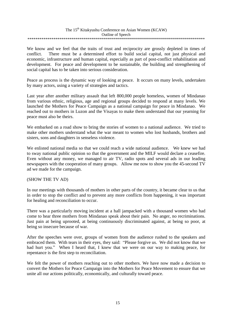We know and we feel that the traits of trust and reciprocity are grossly depleted in times of conflict. There must be a determined effort to build social capital, not just physical and economic, infrastructure and human capital, especially as part of post-conflict rehabilitation and development. For peace and development to be sustainable, the building and strengthening of social capital has to be taken into serious consideration.

Peace as process is the dynamic way of looking at peace. It occurs on many levels, undertaken by many actors, using a variety of strategies and tactics.

Last year after another military assault that left 800,000 people homeless, women of Mindanao from various ethnic, religious, age and regional groups decided to respond at many levels. We launched the Mothers for Peace Campaign as a national campaign for peace in Mindanao. We reached out to mothers in Luzon and the Visayas to make them understand that our yearning for peace must also be theirs.

We embarked on a road show to bring the stories of women to a national audience. We tried to make other mothers understand what the war meant to women who lost husbands, brothers and sisters, sons and daughters in senseless violence.

We enlisted national media so that we could reach a wide national audience. We knew we had to sway national public opinion so that the government and the MILF would declare a ceasefire. Even without any money, we managed to air TV, radio spots and several ads in our leading newspapers with the cooperation of many groups. Allow me now to show you the 45-second TV ad we made for the campaign.

#### (SHOW THE TV AD)

In our meetings with thousands of mothers in other parts of the country, it became clear to us that in order to stop the conflict and to prevent any more conflicts from happening, it was important for healing and reconciliation to occur.

There was a particularly moving incident at a hall jampacked with a thousand women who had come to hear three mothers from Mindanao speak about their pain. No anger, no recriminations. Just pain at being uprooted, at being continuously discriminated against, at being so poor, at being so insecure because of war.

After the speeches were over, groups of women from the audience rushed to the speakers and embraced them. With tears in their eyes, they said: "Please forgive us. We did not know that we had hurt you." When I heard that, I knew that we were on our way to making peace, for repentance is the first step to reconciliation.

We felt the power of mothers reaching out to other mothers. We have now made a decision to convert the Mothers for Peace Campaign into the Mothers for Peace Movement to ensure that we unite all our actions politically, economically, and culturally toward peace.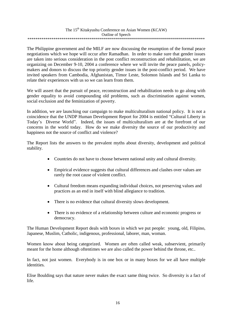The Philippine government and the MILF are now discussing the resumption of the formal peace negotiations which we hope will occur after Ramadhan. In order to make sure that gender issues are taken into serious consideration in the post conflict reconstruction and rehabilitation, we are organizing on December 9-10, 2004 a conference where we will invite the peace panels, policymakers and donors to discuss the top priority gender issues in the post-conflict period. We have invited speakers from Cambodia, Afghanistan, Timor Leste, Solomon Islands and Sri Lanka to relate their experiences with us so we can learn from them.

We will assert that the pursuit of peace, reconstruction and rehabilitation needs to go along with gender equality to avoid compounding old problems, such as discrimination against women, social exclusion and the feminization of poverty.

In addition, we are launching our campaign to make multiculturalism national policy. It is not a coincidence that the UNDP Human Development Report for 2004 is entitled "Cultural Liberty in Today's Diverse World". Indeed, the issues of multiculturalism are at the forefront of our concerns in the world today. How do we make diversity the source of our productivity and happiness not the source of conflict and violence?

The Report lists the answers to the prevalent myths about diversity, development and political stability.

- Countries do not have to choose between national unity and cultural diversity.
- Empirical evidence suggests that cultural differences and clashes over values are rarely the root cause of violent conflict.
- Cultural freedom means expanding individual choices, not preserving values and practices as an end in itself with blind allegiance to tradition.
- There is no evidence that cultural diversity slows development.
- There is no evidence of a relationship between culture and economic progress or democracy.

The Human Development Report deals with boxes in which we put people: young, old, Filipino, Japanese, Muslim, Catholic, indigenous, professional, laborer, man, woman.

Women know about being categorized. Women are often called weak, subservient, primarily meant for the home although oftentimes we are also called the power behind the throne, etc..

In fact, not just women. Everybody is in one box or in many boxes for we all have multiple identities.

Elise Boulding says that nature never makes the exact same thing twice. So diversity is a fact of life.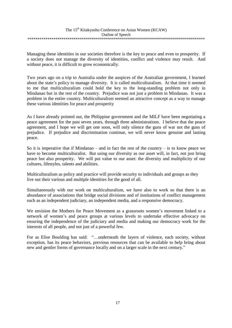Managing these identities in our societies therefore is the key to peace and even to prosperity. If a society does not manage the diversity of identities, conflict and violence may result. And without peace, it is difficult to grow economically.

Two years ago on a trip to Australia under the auspices of the Australian government, I learned about the state's policy to manage diversity. It is called multiculturalism. At that time it seemed to me that multiculturalism could hold the key to the long-standing problem not only in Mindanao but in the rest of the country. Prejudice was not just a problem in Mindanao. It was a problem in the entire country. Multiculturalism seemed an attractive concept as a way to manage these various identities for peace and prosperity

As I have already pointed out, the Philippine government and the MILF have been negotiating a peace agreement for the past seven years, through three administrations. I believe that the peace agreement, and I hope we will get one soon, will only silence the guns of war not the guns of prejudice. If prejudice and discrimination continue, we will never know genuine and lasting peace.

So it is imperative that if Mindanao – and in fact the rest of the country – is to know peace we have to become multiculturalist. But using our diversity as our asset will, in fact, not just bring peace but also prosperity. We will put value to our asset: the diversity and multiplicity of our cultures, lifestyles, talents and abilities.

Multiculturalism as policy and practice will provide security to individuals and groups as they live out their various and multiple identities for the good of all.

Simultaneously with our work on multiculturalism, we have also to work so that there is an abundance of associations that bridge social divisions and of institutions of conflict management such as an independent judiciary, an independent media, and a responsive democracy.

We envision the Mothers for Peace Movement as a grassroots women's movement linked to a network of women's and peace groups at various levels to undertake effective advocacy on ensuring the independence of the judiciary and media and making our democracy work for the interests of all people, and not just of a powerful few.

For as Elise Boulding has said: "…underneath the layers of violence, each society, without exception, has its peace behaviors, previous resources that can be available to help bring about new and gentler forms of governance locally and on a larger scale in the next century."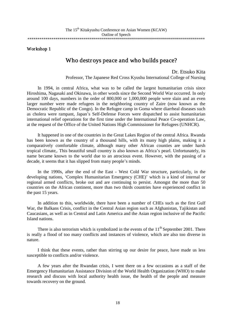### Who destroys peace and who builds peace?

Dr. Etsuko Kita Professor, The Japanese Red Cross Kyushu International College of Nursing

In 1994, in central Africa, what was to be called the largest humanitarian crisis since Hiroshima, Nagasaki and Okinawa, in other words since the Second World War occurred. In only around 100 days, numbers in the order of 800,000 or 1,000,000 people were slain and an even larger number were made refugees in the neighboring country of Zaire (now known as the Democratic Republic of the Congo). In the Refugee camp in Goma where diarrheal diseases such as cholera were rampant, Japan's Self-Defense Forces were dispatched to assist humanitarian international relief operations for the first time under the International Peace Co-operation Law, at the request of the Office of the United Nations High Commissioner for Refugees (UNHCR).

It happened in one of the countries in the Great Lakes Region of the central Africa. Rwanda has been known as the country of a thousand hills, with its many high plains, making it a comparatively comfortable climate, although many other African counties are under harsh tropical climate,. This beautiful small country is also known as Africa's pearl. Unfortunately, its name became known to the world due to an atrocious event. However, with the passing of a decade, it seems that it has slipped from many people's minds.

In the 1990s, after the end of the East - West Cold War structure, particularly, in the developing nations, 'Complex Humanitarian Emergency (CHE)' which is a kind of internal or regional armed conflicts, broke out and are continuing to persist. Amongst the more than 50 countries on the African continent, more than two thirds countries have experienced conflict in the past 15 years.

In addition to this, worldwide, there have been a number of CHEs such as the first Gulf War, the Balkans Crisis, conflict in the Central Asian region such as Afghanistan, Tajikistan and Caucasians, as well as in Central and Latin America and the Asian region inclusive of the Pacific Island nations.

There is also terrorism which is symbolized in the events of the  $11<sup>th</sup>$  September 2001. There is really a flood of too many conflicts and instances of violence, which are also too diverse in nature.

I think that these events, rather than stirring up our desire for peace, have made us less susceptible to conflicts and/or violence.

A few years after the Rwandan crisis, I went there on a few occasions as a staff of the Emergency Humanitarian Assistance Division of the World Health Organization (WHO) to make research and discuss with local authority health issue, the health of the people and measure towards recovery on the ground.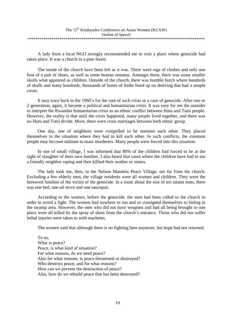A lady from a local NGO strongly recommended me to visit a place where genocide had taken place. It was a church in a pine forest.

The inside of the church have been left as it was. There were rags of clothes and only one foot of a pair of shoes, as well as some human remains. Amongst these, there was some smaller skulls what appeared as children. Outside of the church, there was humble hutch where hundreds of skulls and many hundreds, thousands of bones of limbs lined up on shelving that had a simple cover.

It may trace back to the 1960's for the root of such crisis or a case of genocide. After one or 2 generation, again, it became a political and humanitarian crisis. It was easy for me the outsider to interpret the Rwandan humanitarian crisis as an ethnic conflict between Hutu and Tutsi people. However, the reality is that until the crisis happened, many people lived together, and there was no Hutu and Tutsi divide. More, there were cross marriages between both ethnic group.

One day, one of neighbors were compelled to be enemies each other. They placed themselves in the situation where they had to kill each other. In such conflicts, the common people may become militant to mass murderers. Many people were forced into this situation.

In one of small village, I was informed that 80% of the children had forced to be at the sight of slaughter of their own families. I also heard that cases where the children have had to see a friendly neighbor raping and then killind their mother or sisters.

The lady took me, then, to the Nelson Mandela Peace Village, not far from the church. Excluding a few elderly men, the village residents were all women and children. They were the bereaved families of the victim of the genocide. In a room about the size of ten tatami mats, there was one bed, one oil stove and one saucepan.

According to the women, before the genocide, the men had been called to the church in order to avoid a fight. The women had nowhere to run and so consigned themselves to hiding in the swamp area. However, the men who did not have weapons and had all being brought to one place were all killed by the spray of shots from the church's entrance. Those who did not suffer lethal injuries were taken to with machetes.

The women said that although there is no fighting here anymore, but hope had not returned.

To us, What is peace? Peace, is what kind of situation? For what reasons, do we need peace? Also for what reasons, is peace threatened or destroyed? Who destroys peace, and for what reasons? How can we prevent the destruction of peace? Also, how do we rebuild peace that has been destroyed?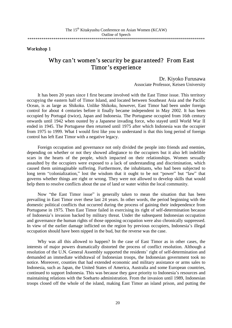### Why can't women's security be guaranteed? From East Timor's experience

Dr. Kiyoko Furusawa Associate Professor, Keisen University

It has been 20 years since I first became involved with the East Timor issue. This territory occupying the eastern half of Timor Island, and located between Southeast Asia and the Pacific Ocean, is as large as Shikoku. Unlike Shikoku, however, East Timor had been under foreign control for about 4 centuries before it finally became independent in May 2002. It has been occupied by Portugal (twice), Japan and Indonesia. The Portuguese occupied from 16th century onwards until 1942 when ousted by a Japanese invading force, who stayed until World War II ended in 1945. The Portuguese then returned until 1975 after which Indonesia was the occupier from 1975 to 1999. What I would first like you to understand is that this long period of foreign control has left East Timor with a negative legacy.

Foreign occupation and governance not only divided the people into friends and enemies, depending on whether or not they showed allegiance to the occupiers but it also left indelible scars in the hearts of the people, which impacted on their relationships. Women sexually assaulted by the occupiers were exposed to a lack of understanding and discrimination, which caused them unimaginable suffering. Furthermore, the inhabitants, who had been subjected to long term "colonialization," lost the wisdom that it ought to be not "power" but "law" that governs whether things are right or wrong. They were not allowed to develop skills that would help them to resolve conflicts about the use of land or water within the local community.

Now "the East Timor issue" is generally taken to mean the situation that has been prevailing in East Timor over these last 24 years. In other words, the period beginning with the domestic political conflicts that occurred during the process of gaining their independence from Portuguese in 1975. Then East Timor failed in exercising its right of self-determination because of Indonesia's invasion backed by military threat. Under the subsequent Indonesian occupation and governance the human rights of those opposing occupation were also chronically suppressed. In view of the earlier damage inflicted on the region by previous occupiers, Indonesia's illegal occupation should have been nipped in the bud, but the reverse was the case.

Why was all this allowed to happen? In the case of East Timor as in other cases, the interests of major powers dramatically distorted the process of conflict resolution. Although a resolution of the U.N. General Assembly supported the residents' right of self-determination and demanded an immediate withdrawal of Indonesian troops, the Indonesian government took no notice. Moreover, counties that had extended economic and military assistance or arms sales to Indonesia, such as Japan, the United States of America, Australia and some European countries, continued to support Indonesia. This was because they gave priority to Indonesia's resources and maintaining relations with the Soeharto administration. From the invasion until 1989, Indonesian troops closed off the whole of the island, making East Timor an island prison, and putting the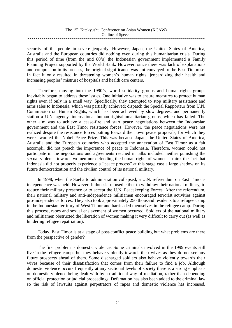| The 15 <sup>th</sup> Kitakyushu Conference on Asian Women (KCAW) |
|------------------------------------------------------------------|
| Outline of Speech                                                |
|                                                                  |

security of the people in severe jeopardy. However, Japan, the United States of America, Australia and the European countries did nothing even during this humanitarian crisis. During this period of time (from the mid 80's) the Indonesian government implemented a Family Planning Project supported by the World Bank. However, since there was lack of explanations and compulsion in its process, the original significance was not conveyed to the East Timorese. In fact it only resulted in threatening women's human rights, jeopardizing their health and increasing peoples' mistrust of hospitals and health care centers.

Therefore, moving into the 1990's, world solidarity groups and human-rights groups inevitably began to address these issues. One initiative was to ensure measures to protect human rights even if only in a small way. Specifically, they attempted to stop military assistance and arms sales to Indonesia, which was partially achieved; dispatch the Special Rapporteur from U.N. Commission on Human Rights, which has been achieved by slow degrees; and permanently station a U.N. agency, international human-rights/humanitarian groups, which has failed. The other aim was to achieve a cease-fire and start peace negotiations between the Indonesian government and the East Timor resistance forces. However, the peace negotiations were not realized despite the resistance forces putting forward their own peace proposals, for which they were awarded the Nobel Peace Prize. This was because Japan, the United States of America, Australia and the European countries who accepted the annexation of East Timor as a fait accompli, did not preach the importance of peace to Indonesia. Therefore, women could not participate in the negotiations and agreements reached in talks included neither punishing the sexual violence towards women nor defending the human rights of women. I think the fact that Indonesia did not properly experience a "peace process" at this stage cast a large shadow on its future democratization and the civilian control of its national military.

In 1998, when the Soeharto administration collapsed, a U.N. referendum on East Timor's independence was held. However, Indonesia refused either to withdraw their national military, to reduce their military presence or to accept the U.N. Peacekeeping Forces. After the referendum, their national military and anti-independence militiamen encouraged terrorist activities against pro-independence forces. They also took approximately 250 thousand residents to a refugee camp in the Indonesian territory of West Timor and barricaded themselves in the refugee camp. During this process, rapes and sexual enslavement of women occurred. Soldiers of the national military and militiamen obstructed the liberation of women making it very difficult to carry out (as well as hindering refugee repatriation).

Today, East Timor is at a stage of post-conflict peace building but what problems are there from the perspective of gender?

The first problem is domestic violence. Some criminals involved in the 1999 events still live in the refugee camps but they behave violently towards their wives as they do not see any future prospects ahead of them. Some discharged soldiers also behave violently towards their wives because of their dissatisfaction that comes from their failure to find a job. Although domestic violence occurs frequently at any sectional levels of society there is a strong emphasis on domestic violence being dealt with by a traditional way of mediation, rather than depending on official protection or judicial proceedings. Defamation has also been added to the criminal law, so the risk of lawsuits against perpetrators of rapes and domestic violence has increased.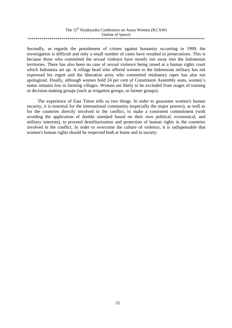| The 15 <sup>th</sup> Kitakyushu Conference on Asian Women (KCAW) |
|------------------------------------------------------------------|
| Outline of Speech                                                |
|                                                                  |

Secondly, as regards the punishment of crimes against humanity occurring in 1999, the investigation is difficult and only a small number of cases have resulted in prosecutions. This is because those who committed the sexual violence have mostly run away into the Indonesian territories. There has also been no case of sexual violence being raised at a human rights court which Indonesia set up. A village head who offered women to the Indonesian military has not expressed his regret and the liberation army who committed retaliatory rapes has also not apologized. Finally, although women hold 24 per cent of Constituent Assembly seats, women's status remains low in farming villages. Women are likely to be excluded from stages of training or decision-making groups (such as irrigation groups, or farmer groups).

The experience of East Timor tells us two things. In order to guarantee women's human security, it is essential for the international community (especially the major powers), as well as for the countries directly involved in the conflict, to make a consistent commitment (with avoiding the application of double standard based on their own political, economical, and military interests), to proceed demilitarization and protection of human rights in the countries involved in the conflict. In order to overcome the culture of violence, it is indispensable that women's human rights should be respected both at home and in society.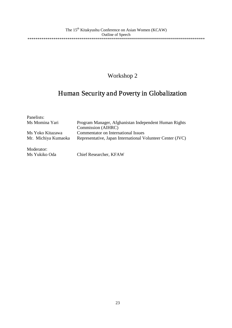## Human Security and Poverty in Globalization

| Panelists:          |                                                            |
|---------------------|------------------------------------------------------------|
| Ms Momina Yari      | Program Manager, Afghanistan Independent Human Rights      |
|                     | Commission (AIHRC)                                         |
| Ms Yoko Kitazawa    | Commentator on International Issues                        |
| Mr. Michiya Kumaoka | Representative, Japan International Volunteer Center (JVC) |
| Moderator:<br>.     |                                                            |

Ms Yukiko Oda Chief Researcher, KFAW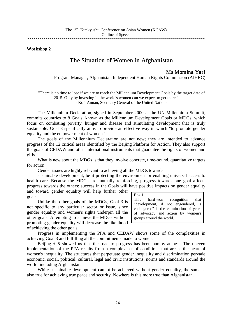### The Situation of Women in Afghanistan

Ms Momina Yari<br>Program Manager, Afghanistan Independent Human Rights Commission (AIHRC)

"There is no time to lose if we are to reach the Millennium Development Goals by the target date of 2015. Only by investing in the world's women can we expect to get there."

- Kofi Annan, Secretary General of the United Nations

The Millennium Declaration, signed in September 2000 at the UN Millennium Summit, commits countries to 8 Goals, known as the Millennium Development Goals or MDGs, which focus on combating poverty, hunger and disease and stimulating development that is truly sustainable. Goal 3 specifically aims to provide an effective way in which "to promote gender equality and the empowerment of women."

The goals of the Millennium Declaration are not new; they are intended to advance progress of the 12 critical areas identified by the Beijing Platform for Action. They also support the goals of CEDAW and other international instruments that guarantee the rights of women and girls.

What is new about the MDGs is that they involve concrete, time-bound, quantitative targets for action.

Gender issues are highly relevant to achieving all the MDGs towards

sustainable development, be it protecting the environment or enabling universal access to health care. Because the MDGs are mutually reinforcing, progress towards one goal affects progress towards the others: success in the Goals will have positive impacts on gender equality and toward gender equality will help further other

goals.

Unlike the other goals of the MDGs, Goal 3 is not specific to any particular sector or issue, since gender equality and women's rights underpin all the other goals. Attempting to achieve the MDGs without promoting gender equality will decrease the likelihood of achieving the other goals.

| Box 1 |                                         |  |  |
|-------|-----------------------------------------|--|--|
|       | This hard-won recognition that          |  |  |
|       | "development, if not engendered, is     |  |  |
|       | endangered" is the culmination of years |  |  |
|       | of advocacy and action by women's       |  |  |
|       | groups around the world.                |  |  |

Progress in implementing the PFA and CEDAW shows some of the complexities in achieving Goal 3 and fulfilling all the commitments made to women.

Beijing  $+5$  showed us that the road to progress has been bumpy at best. The uneven implementation of the PFA results from a complex set of conditions that are at the heart of women's inequality. The structures that perpetuate gender inequality and discrimination pervade economic, social, political, cultural, legal and civic institutions, norms and standards around the world, including Afghanistan.

While sustainable development cannot be achieved without gender equality, the same is also true for achieving true peace and security. Nowhere is this more true than Afghanistan.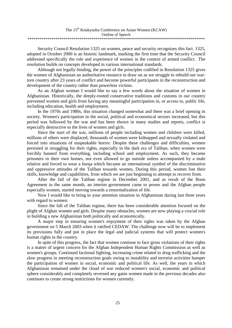| The 15 <sup>th</sup> Kitakyushu Conference on Asian Women (KCAW) |
|------------------------------------------------------------------|
| Outline of Speech                                                |
|                                                                  |

Security Council Resolution 1325 on women, peace and security recognizes this fact. 1325, adopted in October 2000 is an historic landmark, marking the first time that the Security Council addressed specifically the role and experience of women in the context of armed conflict. The resolution builds on concepts developed in various international standards.

Although not legally binding, the power of the principles codified in Resolution 1325 gives the women of Afghanistan an authoritative resource to draw on as we struggle to rebuild our wartorn country after 23 years of conflict and become powerful participants in the reconstruction and development of the country rather than powerless victims.

As an Afghan woman I would like to say a few words about the situation of women in Afghanistan. Historically, the deeply-rooted conservative traditions and customs in our country prevented women and girls from having any meaningful participation in, or access to, public life, including education, health and employment.

In the 1970s and 1980s, this situation changed somewhat and there was a brief opening in society. Women's participation in the social, political and economical sectors increased, but this period was followed by the war and has been shown in many studies and reports, conflict is especially destructive to the lives of women and girls.

Since the start of the war, millions of people including women and children were killed, millions of others were displaced, thousands of women were kidnapped and sexually violated and forced into situations of unspeakable horror. Despite these challenges and difficulties, women persisted in struggling for their rights, especially in the dark era of Taliban, when women were forcibly banned from everything, including school and employment. As such, they became prisoners in their own homes, not even allowed to go outside unless accompanied by a male relative and forced to wear a burqa which became an international symbol of the discriminative and oppressive attitudes of the Taliban towards women, During this period, women lost their skills, knowledge and capabilities, from which we are just beginning to attempt to recover from.

After the fall of the Taliban regime in December 2001, and as result of the Bonn Agreement in the same month, an interim government came to power and the Afghan people especially women, started moving towards a renormalization of life.

Now I would like to bring to your attention situation in Afghanistan during last three years with regard to women:

Since the fall of the Taliban regime, there has been considerable attention focused on the plight of Afghan women and girls. Despite many obstacles, women are now playing a crucial role in building a new Afghanistan both politically and economically.

A major step in ensuring women's enjoyment of their rights was taken by the Afghan government on 5 March 2003 when it ratified CEDAW. The challenge now will be to implement its provisions fully and put in place the legal and judicial systems that will protect women's human rights in the country.

In spite of this progress, the fact that women continue to face gross violations of their rights is a matter of urgent concern for the Afghan Independent Human Rights Commission as well as women's groups. Continued factional fighting, increasing crime related to drug trafficking and the slow progress in meeting reconstruction goals owing to instability and terrorist activities hamper the participation of women in social, economic and political life. As well, the years in which Afghanistan remained under the cloud of war reduced women's social, economic and political sphere considerably and completely reversed any gains women made in the previous decades also continues to create strong restrictions for women currently.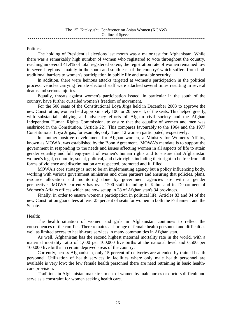#### Politics:

The holding of Presidential elections last month was a major test for Afghanistan. While there was a remarkably high number of women who registered to vote throughout the country, reaching an overall 41.4% of total registered voters, the registration rate of women remained low in several regions - mainly in the south and south-east of the country? which suffers from both traditional barriers to women's participation in public life and unstable security.

In addition, there were heinous attacks targeted at women's participation in the political process: vehicles carrying female electoral staff were attacked several times resulting in several deaths and serious injuries.

Equally, threats against women's participation issued, in particular in the south of the country, have further curtailed women's freedom of movement.

For the 500 seats of the Constitutional Loya Jirga held in December 2003 to approve the new Constitution, women held approximately 100, or 20 percent, of the seats. This helped greatly, with substantial lobbying and advocacy efforts of Afghan civil society and the Afghan Independent Human Rights Commission, to ensure that the equality of women and men was enshrined in the Constitution, (Article 22). This compares favourably to the 1964 and the 1977 Constitutional Loya Jirgas, for example, only 4 and 12 women participated, respectively.

In another positive development for Afghan women, a Ministry for Women's Affairs, known as MOWA, was established by the Bonn Agreement. MOWA's mandate is to support the government in responding to the needs and issues affecting women in all aspects of life to attain gender equality and full enjoyment of women's human rights and to ensure that Afghanistan women's legal, economic, social, political, and civic rights including their right to be free from all forms of violence and discrimination are respected, promoted and fulfilled.

MOWA's core strategy is not to be an implementing agency but a policy influencing body, working with various government ministries and other partners and ensuring that policies, plans, resource allocation and monitoring done by government agencies are with a gender perspective. MOWA currently has over 1200 staff including in Kabul and its Department of Women's Affairs offices which are now set up in 28 of Afghanistan's 34 provinces.

Finally, in order to ensure women's participation in political life, Articles 83 and 84 of the new Constitution guarantees at least 25 percent of seats for women in both the Parliament and the Senate.

#### Health:

The health situation of women and girls in Afghanistan continues to reflect the consequences of the conflict. There remains a shortage of female health personnel and difficult as well as limited access to health-care services in many communities in Afghanistan.

As well, Afghanistan has the second highest maternal mortality rate in the world, with a maternal mortality ratio of 1,600 per 100,000 live births at the national level and 6,500 per 100,000 live births in certain deprived areas of the country.

Currently, across Afghanistan, only 15 percent of deliveries are attended by trained health personnel. Utilization of health services in facilities where only male health personnel are available is very low; the few female health personnel there are need retraining in basic healthcare provision.

Traditions in Afghanistan make treatment of women by male nurses or doctors difficult and serve as a constraint for women seeking health care.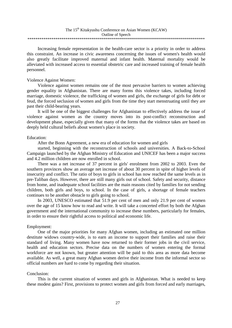| The 15 <sup>th</sup> Kitakyushu Conference on Asian Women (KCAW) |
|------------------------------------------------------------------|
| Outline of Speech                                                |
|                                                                  |

Increasing female representation in the health-care sector is a priority in order to address this constraint. An increase in civic awareness concerning the issues of women's health would also greatly facilitate improved maternal and infant health. Maternal mortality would be alleviated with increased access to essential obstetric care and increased training of female health personnel.

#### Violence Against Women:

Violence against women remains one of the most pervasive barriers to women achieving gender equality in Afghanistan. There are many forms this violence takes, including forced marriage, domestic violence, the trafficking of women and girls, the exchange of girls for debt or feud, the forced seclusion of women and girls from the time they start menstruating until they are past their child-bearing years.

It will be one of the biggest challenges for Afghanistan to effectively address the issue of violence against women as the country moves into its post-conflict reconstruction and development phase, especially given that many of the forms that the violence takes are based on deeply held cultural beliefs about women's place in society.

#### Education:

After the Bonn Agreement, a new era of education for women and girls

started, beginning with the reconstruction of schools and universities. A Back-to-School Campaign launched by the Afghan Ministry of Education and UNICEF has been a major success and 4.2 million children are now enrolled in school.

There was a net increase of 37 percent in girls' enrolment from 2002 to 2003. Even the southern provinces show an average net increase of about 30 percent in spite of higher levels of insecurity and conflict. The ratio of boys to girls in school has now reached the same levels as in pre-Taliban days. However, there are still many girls out of school. Safety and security, distance from home, and inadequate school facilities are the main reasons cited by families for not sending children, both girls and boys, to school. In the case of girls, a shortage of female teachers continues to be another obstacle to girls going to school.

In 2003, UNESCO estimated that 51.9 per cent of men and only 21.9 per cent of women over the age of 15 know how to read and write. It will take a concerted effort by both the Afghan government and the international community to increase these numbers, particularly for females, in order to ensure their rightful access to political and economic life.

#### Employment:

One of the major priorities for many Afghan women, including an estimated one million destitute widows country-wide, is to earn an income to support their families and raise their standard of living. Many women have now returned to their former jobs in the civil service, health and education sectors. Precise data on the numbers of women entering the formal workforce are not known, but greater attention will be paid to this area as more data become available. As well, a great many Afghan women derive their income from the informal sector so official numbers are hard to come by regarding their situation.

#### Conclusion:

This is the current situation of women and girls in Afghanistan. What is needed to keep these modest gains? First, provisions to protect women and girls from forced and early marriages,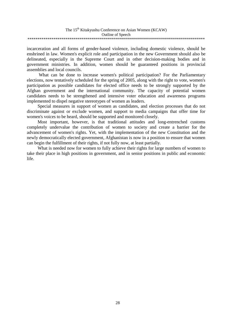| The 15 <sup>th</sup> Kitakyushu Conference on Asian Women (KCAW) |
|------------------------------------------------------------------|
| Outline of Speech                                                |
|                                                                  |

incarceration and all forms of gender-based violence, including domestic violence, should be enshrined in law. Women's explicit role and participation in the new Government should also be delineated, especially in the Supreme Court and in other decision-making bodies and in government ministries. In addition, women should be guaranteed positions in provincial assemblies and local councils.

What can be done to increase women's political participation? For the Parliamentary elections, now tentatively scheduled for the spring of 2005, along with the right to vote, women's participation as possible candidates for elected office needs to be strongly supported by the Afghan government and the international community. The capacity of potential women candidates needs to be strengthened and intensive voter education and awareness programs implemented to dispel negative stereotypes of women as leaders.

Special measures in support of women as candidates, and election processes that do not discriminate against or exclude women, and support to media campaigns that offer time for women's voices to be heard, should be supported and monitored closely.

Most important, however, is that traditional attitudes and long-entrenched customs completely undervalue the contribution of women to society and create a barrier for the advancement of women's rights. Yet, with the implementation of the new Constitution and the newly democratically elected government, Afghanistan is now in a position to ensure that women can begin the fulfillment of their rights, if not fully now, at least partially.

What is needed now for women to fully achieve their rights for large numbers of women to take their place in high positions in government, and in senior positions in public and economic life.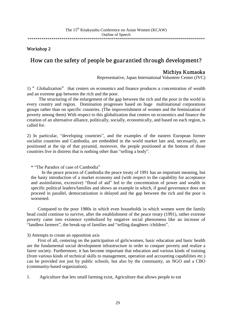### How can the safety of people be guarantied through development?

Michiya Kumaoka Representative, Japan International Volunteer Center (JVC)

1) "Globalization" that centers on economics and finance produces a concentration of wealth and an extreme gap between the rich and the poor.

The structuring of the enlargement of the gap between the rich and the poor in the world in every country and region. Domination progresses based on huge multinational corporations gtoups rather than on specific countries. (The impoverishment of women and the feminization of poverty among them) With respect to this globalization that centers on economics and finance the creation of an alternative alliance, politically, socially, economically, and based on each region, is called for.

2) In particular, "developing countries", and the examples of the eastern European former socialist countries and Cambodia, are embedded in the world market late and, necessarily, are positioned at the tip of that pyramid, moreover, the people positioned at the bottom of those countries live in distress that is nothing other than "selling a body".

#### \* "The Paradox of case of Cambodia"

In the peace process of Cambodia the peace treaty of 1991 has an important meaning, but the hasty introduction of a market economy and (with respect to the capability for acceptance and assimilation, excessive) "flood of aid" led to the concentration of power and wealth in specific political leaders/families and shows an example in which, if good governance does not proceed in parallel, democratization is delayed and the gap between the rich and the poor is worsened.

Compared to the poor 1980s in which even households in which women were the family head could continue to survive, after the establishment of the peace treaty (1991), rather extreme poverty came into existence symbolized by negative social phenomena like an increase of "landless farmers", the break-up of families and "selling daughters /children".

#### 3) Attempts to create an opposition axis

First of all, centering on the participation of girls/women, basic education and basic health are the fundamental social development infrastructure in order to conquer poverty and realize a fairer society. Furthermore, it has become important that education and various kinds of training (from various kinds of technical skills to management, operation and accounting capabilities etc.) can be provided not just by public schools, but also by the community, an NGO and a CBO (community-based organization).

1. Agriculture that lets small farming exist, Agriculture that allows people to eat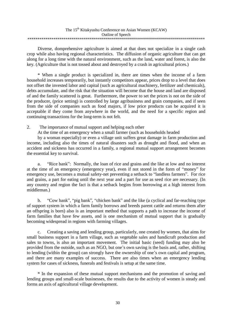| The 15 <sup>th</sup> Kitakyushu Conference on Asian Women (KCAW) |
|------------------------------------------------------------------|
| Outline of Speech                                                |
|                                                                  |

Diverse, domprehensive agriculture is aimed at that does not specialize in a single cash crop while also having regional characteristics. The diffusion of organic agriculture that can get along for a long time with the natural environment, such as the land, water and forest, is also the key. (Agriculture that is not tossed about and destroyed by a crash in agricultural prices.)

\* When a single product is specialized in, there are times when the income of a farm household increases temporarily, but instantly competitors appear, prices drop to a level that does not offset the invested labor and capital (such as agricultural machinery, fertilizer and chemicals), debts accumulate, and the risk that the situation will become that the house and land are disposed of and the family scattered is great. Furthermore, the power to set the prices is not on the side of the producer, (price setting) is controlled by large agribusiness and grain companies, and if seen from the side of companies such as food majors, if low price products can be acquired it is acceptable if they come from anywhere in the world, and the need for a specific region and continuing transactions for the long-term is not felt.

#### 2. The importance of mutual support and helping each other

At the time of an emergency when a small farmer (such as households headed

by a woman especially) or even a village unit suffers great damage in farm production and income, including also the times of natural disasters such as drought and flood, and when an accident and sickness has occurred in a family, a regional mutual support arrangement becomes the essential key to survival.

a. "Rice bank": Normally, the loan of rice and grains and the like at low and no interest at the time of an emergency (emergency year), even if not stored in the form of "money" for emergency use, becomes a mutual safety-net preventing a setback to "landless farmers". For rice and grains, a part for eating until the next year and a part for use as seed rice are necessary. (In any country and region the fact is that a setback begins from borrowing at a high interest from middleman.)

b. "Cow bank", "pig bank", "chicken bank" and the like (a cyclical and far-reaching type of support system in which a farm family borrows and breeds parent cattle and returns them after an offspring is born) also is an important method that supports a path to increase the income of farm families that have few assets, and is one mechanism of mutual support that is gradually becoming widespread in regions with farming villages.

c. Creating a saving and lending group, particularly, one created by women, that aims for small business support in a farm village, such as vegetable sales and handicraft production and sales to towns, is also an important movement. The initial basic (seed) funding may also be provided from the outside, such as an NGO, but one's own saving is the basis and, rather, shifting to lending (within the group) can strongly have the ownership of one's own capital and program, and there are many examples of success. There are also times when an emergency lending system for cases of sickness, funerals and festivals is setup at the same time.

\* In the expansion of these mutual support mechanisms and the promotion of saving and lending groups and small-scale businesses, the results due to the activity of women is steady and forms an axis of agricultural village development.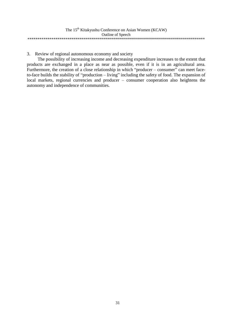| The 15 <sup>th</sup> Kitakyushu Conference on Asian Women (KCAW) |
|------------------------------------------------------------------|
| Outline of Speech                                                |
|                                                                  |

3. Review of regional autonomous economy and society

The possibility of increasing income and decreasing expenditure increases to the extent that products are exchanged in a place as near as possible, even if it is in an agricultural area. Furthermore, the creation of a close relationship in which "producer – consumer" can meet faceto-face builds the stability of "production – living" including the safety of food. The expansion of local markets, regional currencies and producer – consumer cooperation also heightens the autonomy and independence of communities.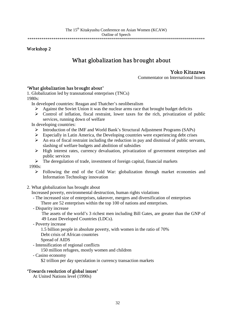## What globalization has brought about

Yoko Kitazawa<br>Commentator on International Issues

### 'What globalization has brought about'

1. Globalization led by transnational enterprises (TNCs) 1980s:

In developed countries: Reagan and Thatcher's neoliberalism

- $\triangleright$  Against the Soviet Union it was the nuclear arms race that brought budget deficits
- $\triangleright$  Control of inflation, fiscal restraint, lower taxes for the rich, privatization of public services, running down of welfare

In developing countries:

- ¾ Introduction of the IMF and World Bank's Structural Adjustment Programs (SAPs)
- $\triangleright$  Especially in Latin America, the Developing countries were experiencing debt crises
- $\triangleright$  An era of fiscal restraint including the reduction in pay and dismissal of public servants, slashing of welfare budgets and abolition of subsidies
- ¾ High interest rates, currency devaluation, privatization of government enterprises and public services
- $\triangleright$  The deregulation of trade, investment of foreign capital, financial markets

1990s:

- $\triangleright$  Following the end of the Cold War: globalization through market economies and Information Technology innovation
- 2. What globalization has brought about

Increased poverty, environmental destruction, human rights violations

- The increased size of enterprises, takeover, mergers and diversification of enterprises
- There are 52 enterprises within the top 100 of nations and enterprises.
- Disparity increase

The assets of the world's 3 richest men including Bill Gates, are greater than the GNP of 49 Least Developed Countries (LDCs).

- Poverty increase

1.5 billion people in absolute poverty, with women in the ratio of 70% Debt crisis of African countries

Spread of AIDS

- Intensification of regional conflicts

150 million refugees, mostly women and children

- Casino economy

\$2 trillion per day speculation in currency transaction markets

### 'Towards resolution of global issues'

At United Nations level (1990s)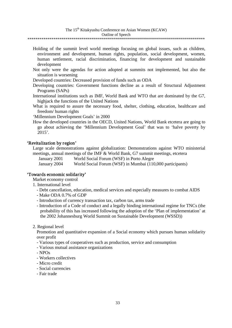#### The 15<sup>th</sup> Kitakyushu Conference on Asian Women (KCAW)

#### Outline of Speech

\*\*\*\*\*\*\*\*\*\*\*\*\*\*\*\*\*\*\*\*\*\*\*\*\*\*\*\*\*\*\*\*\*\*\*\*\*\*\*\*\*\*\*\*\*\*\*\*\*\*\*\*\*\*\*\*\*\*\*\*\*\*\*\*\*\*\*\*\*\*\*\*\*\*\*\*\*\*\*\*\*\*\*\*\*\*\*\*\*

- Holding of the summit level world meetings focusing on global issues, such as children, environment and development, human rights, population, social development, women, human settlement, racial discrimination, financing for development and sustainable development
- Not only were the agendas for action adopted at summits not implemented, but also the situation is worsening
- Developed countries: Decreased provision of funds such as ODA
- Developing countries: Government functions decline as a result of Structural Adjustment Programs (SAPs)
- International institutions such as IMF, World Bank and WTO that are dominated by the G7, highjack the functions of the United Nations
- What is required to assure the necessary food, shelter, clothing, education, healthcare and freedom/ human rights

'Millennium Development Goals' in 2000

How the developed countries in the OECD, United Nations, World Bank etcetera are going to go about achieving the 'Millennium Development Goal' that was to 'halve poverty by 2015'.

#### 'Revitalization by region'

Large scale demonstrations against globalization: Demonstrations against WTO ministerial meetings, annual meetings of the IMF & World Bank, G7 summit meetings, etcetera

January 2001 World Social Forum (WSF) in Porto Alegre

January 2004 World Social Forum (WSF) in Mumbai (110,000 participants)

#### 'Towards economic solidarity'

Market economy control

- 1. International level
	- Debt cancellation, education, medical services and especially measures to combat AIDS
	- Make ODA 0.7% of GDP
	- Introduction of currency transaction tax, carbon tax, arms trade
	- Introduction of a Code of conduct and a legally binding international regime for TNCs (the probability of this has increased following the adoption of the 'Plan of implementation' at the 2002 Johannesburg World Summit on Sustainable Development (WSSD))
- 2. Regional level

Promotion and quantitative expansion of a Social economy which pursues human solidarity over profit

- Various types of cooperatives such as production, service and consumption
- Various mutual assistance organizations
- NPOs
- Workers collectives
- Micro credit
- Social currencies
- Fair trade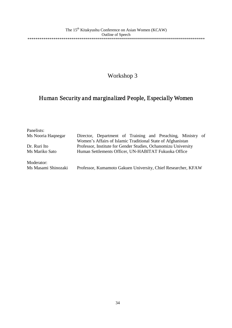## Human Security and marginalized People, Especially Women

| Panelists:          |                                                                |
|---------------------|----------------------------------------------------------------|
| Ms Nooria Haqnegar  | Director, Department of Training and Preaching, Ministry of    |
|                     | Women's Affairs of Islamic Traditional State of Afghanistan    |
| Dr. Ruri Ito        | Professor, Institute for Gender Studies, Ochanomizu University |
| Ms Mariko Sato      | Human Settlements Officer, UN-HABITAT Fukuoka Office           |
| Moderator:          |                                                                |
| Ms Masami Shinozaki | Professor, Kumamoto Gakuen University, Chief Researcher, KFAW  |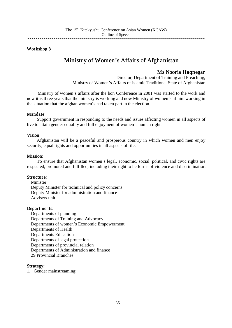## Ministry of Women's Affairs of Afghanistan

Ms Nooria Haqnegar<br>Director, Department of Training and Preaching, Ministry of Women's Affairs of Islamic Traditional State of Afghanistan

Ministry of women's affairs after the bon Conference in 2001 was started to the work and now it is three years that the ministry is working and now Ministry of women's affairs working in the situation that the afghan women's had taken part in the election.

#### Mandate:

Support government in responding to the needs and issues affecting women in all aspects of live to attain gender equality and full enjoyment of women's human rights.

#### Vision:

Afghanistan will be a peaceful and prosperous country in which women and men enjoy security, equal rights and opportunities in all aspects of life.

#### Mission:

To ensure that Afghanistan women's legal, economic, social, political, and civic rights are respected, promoted and fulfilled, including their right to be forms of violence and discrimination.

#### Structure:

Minister Deputy Minister for technical and policy concerns Deputy Minister for administration and finance Advisers unit

#### Departments:

Departments of planning Departments of Training and Advocacy Departments of women's Economic Empowerment Departments of Health Departments Education Departments of legal protection Departments of provincial relation Departments of Administration and finance 29 Provincial Branches

#### Strategy:

1. Gender mainstreaming: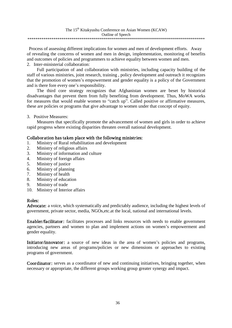Process of assessing different implications for women and men of development efforts. Away of revealing the concerns of women and men in design, implementation, monitoring of benefits and outcomes of policies and programmers to achieve equality between women and men.

2. Inter-ministerial collaboration:

Full participation of and collaboration with ministries, including capacity building of the staff of various ministries, joint research, training , policy development and outreach it recognizes that the promotion of women's empowerment and gender equality is a policy of the Government and is there fore every one's responsibility.

The third core strategy recognizes that Afghanistan women are beset by historical disadvantages that prevent them from fully benefiting from development. Thus, MoWA works for measures that would enable women to "catch up". Called positive or affirmative measures, these are policies or programs that give advantage to women under that concept of equity.

3. Positive Measures:

Measures that specifically promote the advancement of women and girls in order to achieve rapid progress where existing disparities threaten overall national development.

### Collaboration has taken place with the following ministries:

- 1. Ministry of Rural rehabilitation and development
- 2. Ministry of religious affairs
- 3. Ministry of information and culture
- 4. Ministry of foreign affairs
- 5. Ministry of justice
- 6. Ministry of planning
- 7. Ministry of health
- 8. Ministry of education
- 9. Ministry of trade
- 10. Ministry of Interior affairs

#### Roles:

Advocate: a voice, which systematically and predictably audience, including the highest levels of government, private sector, media, NGOs,etc.at the local, national and international levels.

Enabler/facilitator: facilitates processes and links resources with needs to enable government agencies, partners and women to plan and implement actions on women's empowerment and gender equality.

Initiator/innovator: a source of new ideas in the area of women's policies and programs, introducing new areas of programs/policies or new dimensions or approaches to existing programs of government.

Coordinator: serves as a coordinator of new and continuing initiatives, bringing together, when necessary or appropriate, the different groups working group greater synergy and impact.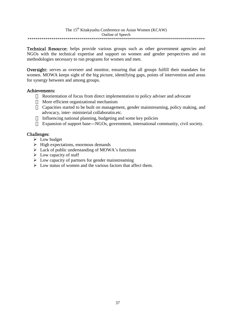Technical Resource: helps provide various groups such as other government agencies and NGOs with the technical expertise and support on women and gender perspectives and on methodologies necessary to run programs for women and men.

Oversight: serves as overseer and monitor, ensuring that all groups fulfill their mandates for women. MOWA keeps sight of the big picture, identifying gaps, points of intervention and areas for synergy between and among groups.

#### Achievements:

Reorientation of focus from direct implementation to policy adviser and advocate More efficient organizational mechanism

Capacities started to be built on management, gender mainstreaming, policy making, and advocacy, inter- ministerial collaboratin.etc.

Influencing national planning, budgeting and some key policies

Expansion of support base---NGOs, government, international community, civil society.

#### Challenges:

- $\triangleright$  Low budget
- $\triangleright$  High expectations, enormous demands
- $\triangleright$  Lack of public understanding of MOWA's functions
- $\triangleright$  Low capacity of staff
- $\triangleright$  Low capacity of partners for gender mainstreaming
- $\triangleright$  Low status of women and the various factors that affect them.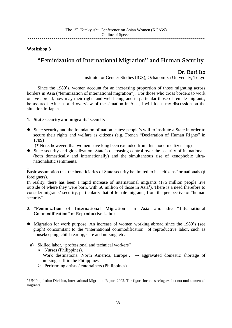\*\*\*\*\*\*\*\*\*\*\*\*\*\*\*\*\*\*\*\*\*\*\*\*\*\*\*\*\*\*\*\*\*\*\*\*\*\*\*\*\*\*\*\*\*\*\*\*\*\*\*\*\*\*\*\*\*\*\*\*\*\*\*\*\*\*\*\*\*\*\*\*\*\*\*\*\*\*\*\*\*\*\*\*\*\*\*\*\*

#### Workshop 3

### "Feminization of International Migr ation" and Human Security

Dr. Ruri Ito Institute for Gender Studies (IGS), Ochanomizu University, Tokyo

Since the 1980's, women account for an increasing proportion of those migrating across borders in Asia ("feminization of international migration"). For those who cross borders to work or live abroad, how may their rights and well-being, and in particular those of female migrants, be assured? After a brief overview of the situation in Asia, I will focus my discussion on the situation in Japan.

#### 1. State security and migrants' security

- State security and the foundation of nation-states: people's will to institute a State in order to secure their rights and welfare as citizens (e.g. French "Declaration of Human Rights" in 1789)
	- (\* Note, however, that women have long been excluded from this modern citizenship)
- State security and globalization: State's decreasing control over the security of its nationals (both domestically and internationally) and the simultaneous rise of xenophobic ultranationalistic sentiments.

↓

Basic assumption that the beneficiaries of State security be limited to its "citizens" or nationals ( $\neq$ foreigners).

In reality, there has been a rapid increase of international migrants (175 million people live outside of where they were born, with 50 million of those in Asia<sup>1</sup>). There is a need therefore to consider migrants' security, particularly that of female migrants, from the perspective of "human security".

#### 2. "Feminization of International Migration" in Asia and the "International Commodification" of Reproductive Labor

- Migration for work purpose: An increase of women working abroad since the 1980's (see graph) concomitant to the "international commodification" of reproductive labor, such as housekeeping, child-rearing, care and nursing, etc.
	- a) Skilled labor, "professional and technical workers"
		- $\triangleright$  Nurses (Philippines).

Work destinations: North America, Europe...  $\rightarrow$  aggravated domestic shortage of nursing staff in the Philippines

 $\triangleright$  Performing artists / entertainers (Philippines).

<sup>&</sup>lt;sup>1</sup> UN Population Division, International Migration Report 2002. The figure includes refugees, but not undocumented migrants.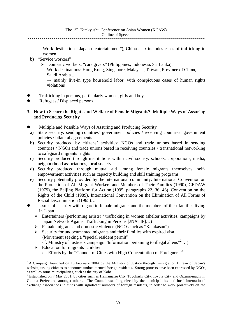#### Outline of Speech

\*\*\*\*\*\*\*\*\*\*\*\*\*\*\*\*\*\*\*\*\*\*\*\*\*\*\*\*\*\*\*\*\*\*\*\*\*\*\*\*\*\*\*\*\*\*\*\*\*\*\*\*\*\*\*\*\*\*\*\*\*\*\*\*\*\*\*\*\*\*\*\*\*\*\*\*\*\*\*\*\*\*\*\*\*\*\*\*\*

Work destinations: Japan ("entertainment"), China...  $\rightarrow$  includes cases of trafficking in women

- b) "Service workers"
	- ¾ Domestic workers, "care givers" (Philippines, Indonesia, Sri Lanka).

- Trafficking in persons, particularly women, girls and boys
- Refugees / Displaced persons

#### 3. How to Secure the Rights and Welfare of Female Migrants? Multiple Ways of Assuring and Producing Security

- Multiple and Possible Ways of Assuring and Producing Security
- a) State security: sending countries' government policies / receiving countries' government policies / bilateral agreements
- b) Security produced by citizens' activities: NGOs and trade unions based in sending countries / NGOs and trade unions based in receiving countries / transnational networking to safeguard migrants' rights
- c) Security produced through insititutions within civil society: schools, corporations, media, neighborhood associations, local society…
- d) Security produced through mutual aid among female migrants themselves, selfempowerment activities such as capacity building and skill training programs
- e) Security potentially provided by the international community: International Convention on the Protection of All Migrant Workers and Members of Their Families (1990), CEDAW (1979), the Beijing Platform for Action (1995, paragraphs 22, 36, 46), Convention on the Rights of the Child (1989), International Convention on the Elimination of All Forms of Racial Discrimination (1965)…
- Issues of security with regard to female migrants and the members of their families living in Japan
	- $\triangleright$  Entertainers (performing artists) / trafficking in women (shelter activities, campaigns by Japan Network Against Trafficking in Persons [JNATIP]…)
	- ¾ Female migrants and domestic violence (NGOs such as "Kalakasan")
	- $\triangleright$  Security for undocumented migrants and their families with expired visa (Movement seeking a "special resident permit" cf. Ministry of Justice's campaign "Information pertaining to illegal aliens" <sup>2</sup> …)
	- $\blacktriangleright$  Education for migrants' children cf. Efforts by the "Council of Cities with High Concentration of Foreigners"<sup>3</sup>.

Work destinations: Hong Kong, Singapore, Malaysia, Taiwan, Province of China, Saudi Arabia...

 $\rightarrow$  mainly live-in type household labor, with conspicuous cases of human rights violations

<sup>&</sup>lt;sup>2</sup> A Campaign launched on 16 February 2004 by the Ministry of Justice through Immigration Bureau of Japan's website, urging citizens to denounce undocumented foreign residents. Strong protests have been expressed by NGOs, as well as some municipalities, such as the city of Kobe.<br><sup>3</sup> Established on 7 May 2001, by cities such as Hamamatsu City, Toyohashi City, Toyota City, and Oizumi-machi in

Gunma Prefecture, amongst others. The Council was "organized by the municipalities and local international exchange associations in cities with significant numbers of foreign residents, in order to work proactively on the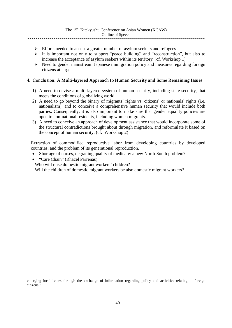Outline of Speech

\*\*\*\*\*\*\*\*\*\*\*\*\*\*\*\*\*\*\*\*\*\*\*\*\*\*\*\*\*\*\*\*\*\*\*\*\*\*\*\*\*\*\*\*\*\*\*\*\*\*\*\*\*\*\*\*\*\*\*\*\*\*\*\*\*\*\*\*\*\*\*\*\*\*\*\*\*\*\*\*\*\*\*\*\*\*\*\*\*

- ¾ Efforts needed to accept a greater number of asylum seekers and refugees
- ¾ It is important not only to support "peace building" and "reconstruction", but also to increase the acceptance of asylum seekers within its territory. (cf. Workshop 1)
- $\triangleright$  Need to gender mainstream Japanese immigration policy and measures regarding foreign citizens at large.

#### 4. Conclusion: A Multi-layered Approach to Human Security and Some Remaining Issues

- 1) A need to devise a multi-layered system of human security, including state security, that meets the conditions of globalizing world.
- 2) A need to go beyond the binary of migrants' rights vs. citizens' or nationals' rights (i.e. nationalism), and to conceive a comprehensive human security that would include both parties. Consequently, it is also important to make sure that gender equality policies are open to non-national residents, including women migrants.
- 3) A need to conceive an approach of development assistance that would incorporate some of the structural contradictions brought about through migration, and reformulate it based on the concept of human security. (cf. Workshop 2)

Extraction of commodified reproductive labor from developing countries by developed countries, and the problem of its generational reproduction.

- x Shortage of nurses, degrading quality of medicare: a new North-South problem?
- x "Care Chain" (Rhacel Parreñas)
- Who will raise domestic migrant workers' children?

Will the children of domestic migrant workers be also domestic migrant workers?

emerging local issues through the exchange of information regarding policy and activities relating to foreign citizens.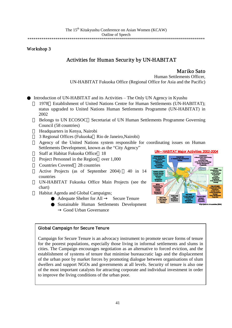### Activities for Human Security by UN-HABITAT

**Mariko Sato**<br>Human Settlements Officer, UN-HABITAT Fukuoka Office (Regional Office for Asia and the Pacific)

Introduction of UN-HABITAT and its Activities – The Only UN Agency in Kyushu

1978 Establishment of United Nations Centre for Human Settlements (UN-HABITAT); status upgraded to United Nations Human Settlements Programme (UN-HABITAT) in 2002

Belongs to UN ECOSOC Secretariat of UN Human Settlements Programme Governing Council (58 countries)

Headquarters in Kenya, Nairobi

3 Regional Offices (Fukuoka Rio de Janeiro,Nairobi)

Agency of the United Nations system responsible for coordinating issues on Human Settlements Development, known as the "City Agency"

Staff at Habitat Fukuoka Office 18

Project Personnel in the Region over 1,000

Countries Covered 28 countries

Active Projects (as of September 2004) 40 in 14 countries

UN-HABITAT Fukuoka Office Main Projects (see the chart)

Habitat Agenda and Global Campaigns;

Adequate Shelter for All Secure Tenure

Sustainable Human Settlements Development Good Urban Governance



### Global Campaign for Secure Tenure

Campaign for Secure Tenure is an advocacy instrument to promote secure forms of tenure for the poorest populations, especially those living in informal settlements and slums in cities. The Campaign encourages negotiation as an alternative to forced eviction, and the establishment of systems of tenure that minimise bureaucratic lags and the displacement of the urban poor by market forces by promoting dialogue between organisations of slum dwellers and support NGOs and governments at all levels. Security of tenure is also one of the most important catalysts for attracting corporate and individual investment in order to improve the living conditions of the urban poor.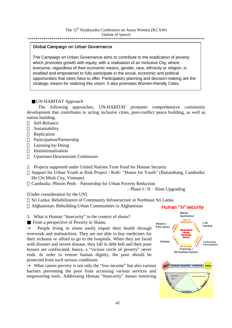#### \*\*\*\*\*\*\*\*\*\*\*\*\*\*\*\*\*\*\*\*\*\*\*\*\*\*\*\*\*\*\*\*\*\*\*\*\*\*\*\*\*\*\*\*\*\*\*\*\*\*\*\*\*\*\*\*\*\*\*\*\*\*\*\*\*\*\*\*\*\*\*\*\*\*\*\*\*\*\*\*\*\*\*\*\*\*\*\*\*

#### Global Campaign on Urban Governance

The Campaign on Urban Governance aims to contribute to the eradication of poverty which promotes growth with equity, with a realisation of an Inclusive City, where everyone, regardless of their economic means, gender, race, ethnicity or religion, is enabled and empowered to fully participate in the social, economic and political opportunities that cities have to offer. Participatory planning and decision-making are the strategic means for realizing this vision. It also promotes Women-friendly Cities.

#### UN-HABITAT Approach

The following approaches, UN-HABITAT promotes comprehensive community development that contributes to acting inclusive cities, post-conflict peace building, as well as nation building.

Self-Reliance Sustainability Replication Participation/Partnership Learning-by-Doing Institutionalisation Upstream-Downstream Continuum

2. Projects supported under United Nations Trust Fund for Human Security Support for Urban Youth at Risk Project : KnK: "House for Youth" (Battambang, Cambodia: Ho Chi Minh City, Vietnam) Cambodia: Phnom Penh – Partnership for Urban Poverty Reduction

– Phase I / II – Slum Upgrading

[Under consideration by the UN]

Sri Lanka: Rehabilitation of Community Infrastructure in Northeast Sri Lanka Afghanistan: Rebuilding Urban Communities in Afghanistan

3. What is Human "Insecurity" in the context of slums? From a perspective of Poverty in Slums;

People living in slums easily impair their health through overwork and malnutrition. They are not able to buy medicines for their sickness or afford to go to the hospitals. When they are faced with disaster and severe disease, they fall in debt hell and their poor houses are confiscated, hence, a "vicious circle of poverty" never ends. In order to restore human dignity, the poor should be protected from such serious conditions.

What causes poverty is not only the "low-income" but also various barriers preventing the poor from accessing various services and empowering tools. Addressing Human "Insecurity" means removing